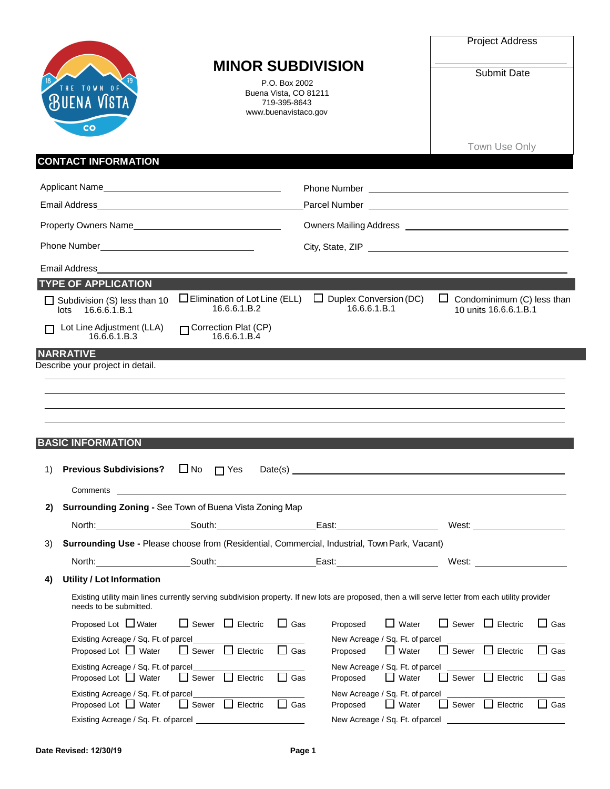|    | <b>MINOR SUBDIVISION</b>                                                                                                                                                                                                                                                                                                                                                                                                                                         | <b>Project Address</b><br><b>Submit Date</b>                                                                                                                                                                                   |
|----|------------------------------------------------------------------------------------------------------------------------------------------------------------------------------------------------------------------------------------------------------------------------------------------------------------------------------------------------------------------------------------------------------------------------------------------------------------------|--------------------------------------------------------------------------------------------------------------------------------------------------------------------------------------------------------------------------------|
|    | P.O. Box 2002<br><b>TOWN</b><br>Buena Vista, CO 81211<br>719-395-8643<br>www.buenavistaco.gov<br>CO                                                                                                                                                                                                                                                                                                                                                              |                                                                                                                                                                                                                                |
|    | <b>CONTACT INFORMATION</b>                                                                                                                                                                                                                                                                                                                                                                                                                                       | Town Use Only                                                                                                                                                                                                                  |
|    | Applicant Name                                                                                                                                                                                                                                                                                                                                                                                                                                                   |                                                                                                                                                                                                                                |
|    |                                                                                                                                                                                                                                                                                                                                                                                                                                                                  |                                                                                                                                                                                                                                |
|    | Property Owners Name                                                                                                                                                                                                                                                                                                                                                                                                                                             |                                                                                                                                                                                                                                |
|    |                                                                                                                                                                                                                                                                                                                                                                                                                                                                  |                                                                                                                                                                                                                                |
|    | Email Address                                                                                                                                                                                                                                                                                                                                                                                                                                                    |                                                                                                                                                                                                                                |
|    | <b>TYPE OF APPLICATION</b>                                                                                                                                                                                                                                                                                                                                                                                                                                       |                                                                                                                                                                                                                                |
|    | $\Box$ Elimination of Lot Line (ELL)<br>Duplex Conversion (DC)<br>ப<br>Subdivision (S) less than 10<br>16.6.6.1.B.2<br>16.6.6.1.B.1<br>16.6.6.1.B.1<br>lots                                                                                                                                                                                                                                                                                                      | Condominimum (C) less than<br>ப<br>10 units 16.6.6.1.B.1                                                                                                                                                                       |
|    | Correction Plat (CP)<br>Lot Line Adjustment (LLA)<br>16.6.6.1.B.4<br>16.6.6.1.B.3                                                                                                                                                                                                                                                                                                                                                                                |                                                                                                                                                                                                                                |
|    | <b>NARRATIVE</b>                                                                                                                                                                                                                                                                                                                                                                                                                                                 |                                                                                                                                                                                                                                |
|    | Describe your project in detail.                                                                                                                                                                                                                                                                                                                                                                                                                                 |                                                                                                                                                                                                                                |
|    |                                                                                                                                                                                                                                                                                                                                                                                                                                                                  |                                                                                                                                                                                                                                |
|    |                                                                                                                                                                                                                                                                                                                                                                                                                                                                  |                                                                                                                                                                                                                                |
|    |                                                                                                                                                                                                                                                                                                                                                                                                                                                                  |                                                                                                                                                                                                                                |
|    | <b>BASIC INFORMATION</b>                                                                                                                                                                                                                                                                                                                                                                                                                                         |                                                                                                                                                                                                                                |
| 1) | $\Box$ No<br><b>Previous Subdivisions?</b><br>$\prod$ Yes<br>Date(s)                                                                                                                                                                                                                                                                                                                                                                                             |                                                                                                                                                                                                                                |
|    | Comments                                                                                                                                                                                                                                                                                                                                                                                                                                                         |                                                                                                                                                                                                                                |
| 2) | Surrounding Zoning - See Town of Buena Vista Zoning Map                                                                                                                                                                                                                                                                                                                                                                                                          |                                                                                                                                                                                                                                |
|    | South: the contract of the contract of the contract of the contract of the contract of the contract of the contract of the contract of the contract of the contract of the contract of the contract of the contract of the con<br>North: and the state of the state of the state of the state of the state of the state of the state of the state of the state of the state of the state of the state of the state of the state of the state of the state of the | West: where the contract of the contract of the contract of the contract of the contract of the contract of the contract of the contract of the contract of the contract of the contract of the contract of the contract of th |
| 3) | Surrounding Use - Please choose from (Residential, Commercial, Industrial, Town Park, Vacant)                                                                                                                                                                                                                                                                                                                                                                    |                                                                                                                                                                                                                                |
|    |                                                                                                                                                                                                                                                                                                                                                                                                                                                                  | West:                                                                                                                                                                                                                          |
| 4) | <b>Utility / Lot Information</b>                                                                                                                                                                                                                                                                                                                                                                                                                                 |                                                                                                                                                                                                                                |
|    | Existing utility main lines currently serving subdivision property. If new lots are proposed, then a will serve letter from each utility provider<br>needs to be submitted.                                                                                                                                                                                                                                                                                      |                                                                                                                                                                                                                                |
|    | Proposed Lot $\Box$ Water<br>$\Box$ Sewer $\Box$ Electric<br>$\Box$ Gas<br>$\Box$ Water<br>Proposed                                                                                                                                                                                                                                                                                                                                                              | Sewer Electric<br>$\Box$ Gas                                                                                                                                                                                                   |
|    | Existing Acreage / Sq. Ft. of parcel<br>New Acreage / Sq. Ft. of parcel<br>Proposed Lot $\Box$ Water<br>Sewer Electric<br>Gas<br>$\Box$ Water<br>Proposed                                                                                                                                                                                                                                                                                                        | Sewer Electric<br>Gas                                                                                                                                                                                                          |
|    | Existing Acreage / Sq. Ft. of parcel<br>New Acreage / Sq. Ft. of parcel                                                                                                                                                                                                                                                                                                                                                                                          |                                                                                                                                                                                                                                |
|    | Proposed Lot $\Box$ Water<br>$\Box$ Sewer $\Box$ Electric<br>$\Box$ Water<br>$\Box$ Gas<br>Proposed<br>Existing Acreage / Sq. Ft. of parcel<br>New Acreage / Sq. Ft. of parcel                                                                                                                                                                                                                                                                                   | $\Box$ Gas<br>$\Box$ Sewer $\Box$ Electric                                                                                                                                                                                     |
|    | Proposed Lot $\Box$ Water<br>$\Box$ Sewer $\Box$ Electric<br>$\Box$ Gas<br>$\Box$ Water<br>Proposed                                                                                                                                                                                                                                                                                                                                                              | $\Box$ Sewer $\Box$ Electric<br>$\Box$ Gas                                                                                                                                                                                     |
|    |                                                                                                                                                                                                                                                                                                                                                                                                                                                                  |                                                                                                                                                                                                                                |